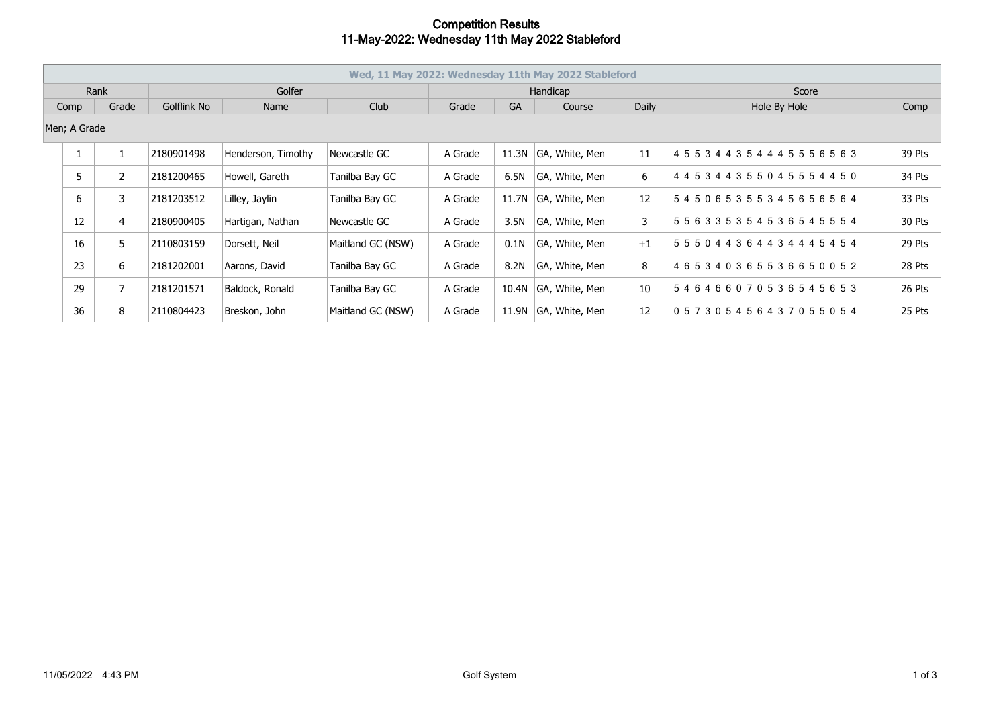## **Competition Results 11-May-2022: Wednesday 11th May 2022 Stableford**

| Wed, 11 May 2022: Wednesday 11th May 2022 Stableford |    |                |             |                    |                   |          |           |                      |              |                                     |        |
|------------------------------------------------------|----|----------------|-------------|--------------------|-------------------|----------|-----------|----------------------|--------------|-------------------------------------|--------|
| Rank                                                 |    |                | Golfer      |                    |                   | Handicap |           |                      |              | Score                               |        |
| Grade<br>Comp                                        |    |                | Golflink No | Name               | Club              | Grade    | <b>GA</b> | Course               | <b>Daily</b> | Hole By Hole                        | Comp   |
| Men; A Grade                                         |    |                |             |                    |                   |          |           |                      |              |                                     |        |
|                                                      |    |                | 2180901498  | Henderson, Timothy | Newcastle GC      | A Grade  | 11.3N     | GA, White, Men       | 11           | 4 5 5 3 4 4 3 5 4 4 4 5 5 5 6 5 6 3 | 39 Pts |
|                                                      | 5  | 2              | 2181200465  | Howell, Gareth     | Tanilba Bay GC    | A Grade  | 6.5N      | GA, White, Men       | 6            | 4 4 5 3 4 4 3 5 5 0 4 5 5 5 4 4 5 0 | 34 Pts |
|                                                      | 6  | 3              | 2181203512  | Lilley, Jaylin     | Tanilba Bay GC    | A Grade  |           | 11.7N GA, White, Men | 12           | 545065355345656564                  | 33 Pts |
|                                                      | 12 | $\overline{4}$ | 2180900405  | Hartigan, Nathan   | Newcastle GC      | A Grade  | 3.5N      | GA, White, Men       | 3            | 5 5 6 3 3 5 3 5 4 5 3 6 5 4 5 5 5 4 | 30 Pts |
|                                                      | 16 | 5              | 2110803159  | Dorsett, Neil      | Maitland GC (NSW) | A Grade  | 0.1N      | GA, White, Men       | $+1$         | 5 5 5 0 4 4 3 6 4 4 3 4 4 4 5 4 5 4 | 29 Pts |
|                                                      | 23 | 6              | 2181202001  | Aarons, David      | Tanilba Bay GC    | A Grade  | 8.2N      | GA, White, Men       | 8            | 465340365536650052                  | 28 Pts |
|                                                      | 29 | $\overline{7}$ | 2181201571  | Baldock, Ronald    | Tanilba Bay GC    | A Grade  |           | 10.4N GA, White, Men | 10           | 546466070536545653                  | 26 Pts |
|                                                      | 36 | 8              | 2110804423  | Breskon, John      | Maitland GC (NSW) | A Grade  |           | 11.9N GA, White, Men | 12           | 057305456437055054                  | 25 Pts |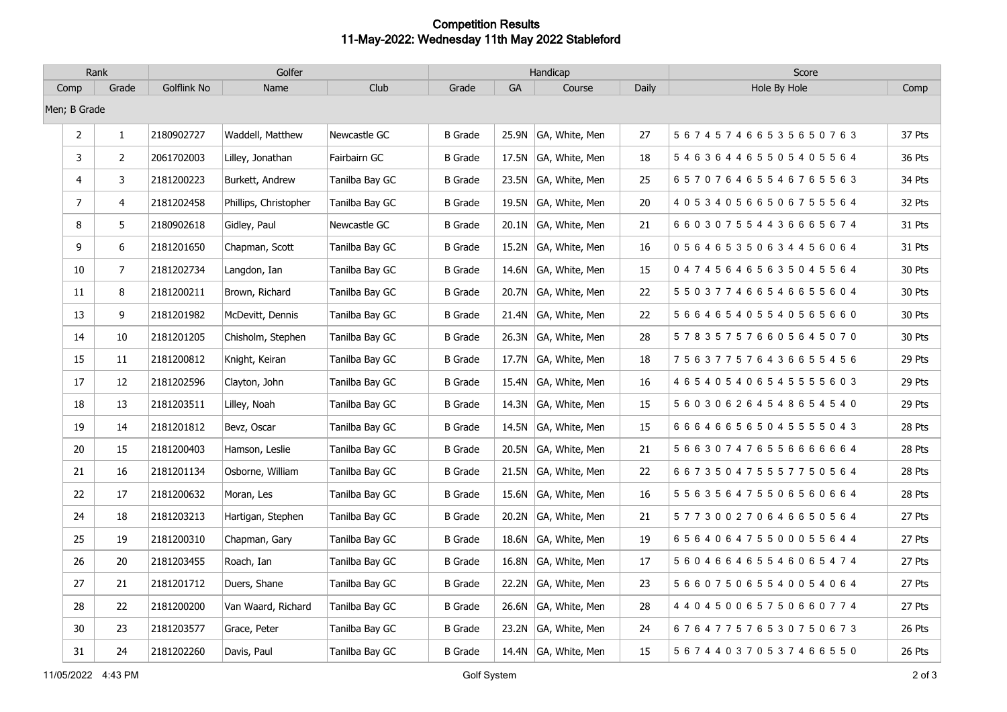## **Competition Results 11-May-2022: Wednesday 11th May 2022 Stableford**

| Rank            |                | Golfer      |                       |                | Handicap       |            |                      |       | Score                               |        |
|-----------------|----------------|-------------|-----------------------|----------------|----------------|------------|----------------------|-------|-------------------------------------|--------|
| Comp            | Grade          | Golflink No | Name                  | Club           | Grade          | ${\sf GA}$ | Course               | Daily | Hole By Hole                        | Comp   |
| Men; B Grade    |                |             |                       |                |                |            |                      |       |                                     |        |
| $\overline{2}$  | $1\,$          | 2180902727  | Waddell, Matthew      | Newcastle GC   | <b>B</b> Grade |            | 25.9N GA, White, Men | 27    | 567457466535650763                  | 37 Pts |
| 3               | $\overline{2}$ | 2061702003  | Lilley, Jonathan      | Fairbairn GC   | <b>B</b> Grade |            | 17.5N GA, White, Men | 18    | 546364465505405564                  | 36 Pts |
| 4               | 3              | 2181200223  | Burkett, Andrew       | Tanilba Bay GC | <b>B</b> Grade |            | 23.5N GA, White, Men | 25    | 657076465546765563                  | 34 Pts |
| $7\overline{ }$ | 4              | 2181202458  | Phillips, Christopher | Tanilba Bay GC | <b>B</b> Grade |            | 19.5N GA, White, Men | 20    | 405340566506755564                  | 32 Pts |
| 8               | 5              | 2180902618  | Gidley, Paul          | Newcastle GC   | <b>B</b> Grade | 20.1N      | GA, White, Men       | 21    | 660307554436665674                  | 31 Pts |
| 9               | 6              | 2181201650  | Chapman, Scott        | Tanilba Bay GC | <b>B</b> Grade |            | 15.2N GA, White, Men | 16    | 056465350634456064                  | 31 Pts |
| 10              | 7              | 2181202734  | Langdon, Ian          | Tanilba Bay GC | <b>B</b> Grade |            | 14.6N GA, White, Men | 15    | 047456465635045564                  | 30 Pts |
| 11              | 8              | 2181200211  | Brown, Richard        | Tanilba Bay GC | <b>B</b> Grade |            | 20.7N GA, White, Men | 22    | 550377466546655604                  | 30 Pts |
| 13              | 9              | 2181201982  | McDevitt, Dennis      | Tanilba Bay GC | <b>B</b> Grade |            | 21.4N GA, White, Men | 22    | 5 6 6 4 6 5 4 0 5 5 4 0 5 6 5 6 6 0 | 30 Pts |
| 14              | 10             | 2181201205  | Chisholm, Stephen     | Tanilba Bay GC | <b>B</b> Grade | 26.3N      | GA, White, Men       | 28    | 578357576605645070                  | 30 Pts |
| 15              | 11             | 2181200812  | Knight, Keiran        | Tanilba Bay GC | <b>B</b> Grade |            | 17.7N GA, White, Men | 18    | 756377576436655456                  | 29 Pts |
| 17              | 12             | 2181202596  | Clayton, John         | Tanilba Bay GC | <b>B</b> Grade | 15.4N      | GA, White, Men       | 16    | 465405406545555603                  | 29 Pts |
| 18              | 13             | 2181203511  | Lilley, Noah          | Tanilba Bay GC | <b>B</b> Grade |            | 14.3N GA, White, Men | 15    | 5 6 0 3 0 6 2 6 4 5 4 8 6 5 4 5 4 0 | 29 Pts |
| 19              | 14             | 2181201812  | Bevz, Oscar           | Tanilba Bay GC | <b>B</b> Grade |            | 14.5N GA, White, Men | 15    | 6 6 6 4 6 6 5 6 5 0 4 5 5 5 5 0 4 3 | 28 Pts |
| 20              | 15             | 2181200403  | Hamson, Leslie        | Tanilba Bay GC | <b>B</b> Grade | 20.5N      | GA, White, Men       | 21    | 566307476556666664                  | 28 Pts |
| 21              | 16             | 2181201134  | Osborne, William      | Tanilba Bay GC | <b>B</b> Grade |            | 21.5N GA, White, Men | 22    | 667350475557750564                  | 28 Pts |
| 22              | 17             | 2181200632  | Moran, Les            | Tanilba Bay GC | <b>B</b> Grade |            | 15.6N GA, White, Men | 16    | 556356475506560664                  | 28 Pts |
| 24              | 18             | 2181203213  | Hartigan, Stephen     | Tanilba Bay GC | <b>B</b> Grade |            | 20.2N GA, White, Men | 21    | 577300270646650564                  | 27 Pts |
| 25              | 19             | 2181200310  | Chapman, Gary         | Tanilba Bay GC | <b>B</b> Grade |            | 18.6N GA, White, Men | 19    | 656406475500055644                  | 27 Pts |
| 26              | 20             | 2181203455  | Roach, Ian            | Tanilba Bay GC | <b>B</b> Grade | 16.8N      | GA, White, Men       | 17    | 560466465546065474                  | 27 Pts |
| 27              | 21             | 2181201712  | Duers, Shane          | Tanilba Bay GC | <b>B</b> Grade |            | 22.2N GA, White, Men | 23    | 566075065540054064                  | 27 Pts |
| 28              | 22             | 2181200200  | Van Waard, Richard    | Tanilba Bay GC | B Grade        |            | 26.6N GA, White, Men | 28    | 4 4 0 4 5 0 0 6 5 7 5 0 6 6 0 7 7 4 | 27 Pts |
| 30              | 23             | 2181203577  | Grace, Peter          | Tanilba Bay GC | <b>B</b> Grade |            | 23.2N GA, White, Men | 24    | 676477576530750673                  | 26 Pts |
| 31              | 24             | 2181202260  | Davis, Paul           | Tanilba Bay GC | <b>B</b> Grade |            | 14.4N GA, White, Men | 15    | 5 6 7 4 4 0 3 7 0 5 3 7 4 6 6 5 5 0 | 26 Pts |